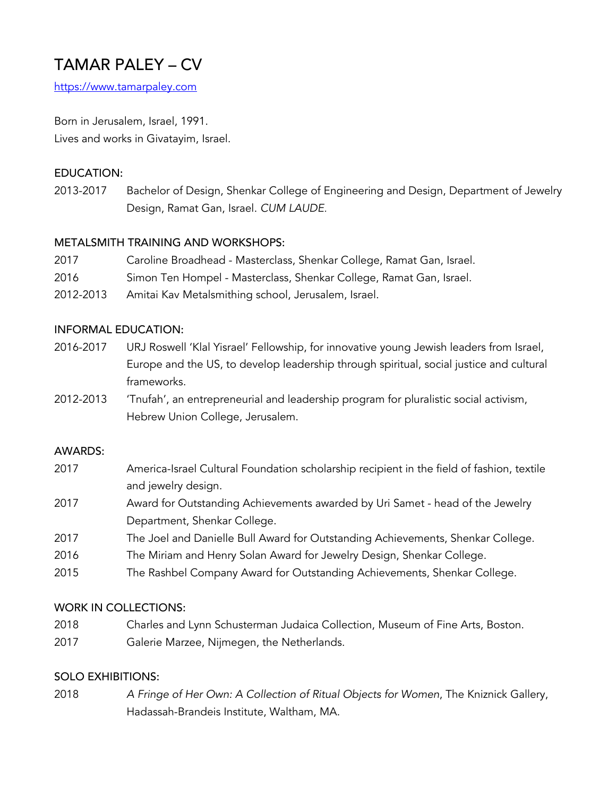# TAMAR PALEY – CV

https://www.tamarpaley.com

Born in Jerusalem, Israel, 1991. Lives and works in Givatayim, Israel.

## EDUCATION:

2013-2017 Bachelor of Design, Shenkar College of Engineering and Design, Department of Jewelry Design, Ramat Gan, Israel. *CUM LAUDE.* 

## METALSMITH TRAINING AND WORKSHOPS:

- 2017 Caroline Broadhead Masterclass, Shenkar College, Ramat Gan, Israel.
- 2016 Simon Ten Hompel Masterclass, Shenkar College, Ramat Gan, Israel.
- 2012-2013 Amitai Kav Metalsmithing school, Jerusalem, Israel.

#### INFORMAL EDUCATION:

- 2016-2017 URJ Roswell 'Klal Yisrael' Fellowship, for innovative young Jewish leaders from Israel, Europe and the US, to develop leadership through spiritual, social justice and cultural frameworks.
- 2012-2013 'Tnufah', an entrepreneurial and leadership program for pluralistic social activism, Hebrew Union College, Jerusalem.

#### AWARDS:

- 2017 America-Israel Cultural Foundation scholarship recipient in the field of fashion, textile and jewelry design.
- 2017 Award for Outstanding Achievements awarded by Uri Samet head of the Jewelry Department, Shenkar College.
- 2017 The Joel and Danielle Bull Award for Outstanding Achievements, Shenkar College.
- 2016 The Miriam and Henry Solan Award for Jewelry Design, Shenkar College.
- 2015 The Rashbel Company Award for Outstanding Achievements, Shenkar College.

#### WORK IN COLLECTIONS:

- 2018 Charles and Lynn Schusterman Judaica Collection, Museum of Fine Arts, Boston.
- 2017 Galerie Marzee, Nijmegen, the Netherlands.

#### SOLO EXHIBITIONS:

2018 *A Fringe of Her Own: A Collection of Ritual Objects for Women*, The Kniznick Gallery, Hadassah-Brandeis Institute, Waltham, MA.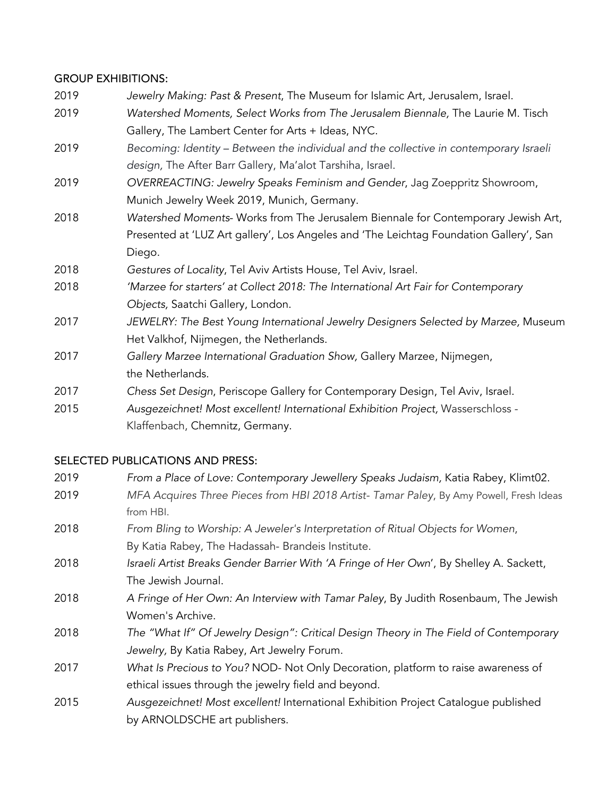#### GROUP EXHIBITIONS:

- 2019 *Jewelry Making: Past & Present*, The Museum for Islamic Art, Jerusalem, Israel.
- 2019 *Watershed Moments, Select Works from The Jerusalem Biennale,* The Laurie M. Tisch Gallery, The Lambert Center for Arts + Ideas, NYC.
- 2019 *Becoming: Identity – Between the individual and the collective in contemporary Israeli design,* The After Barr Gallery, Ma'alot Tarshiha, Israel.
- 2019 *OVERREACTING: Jewelry Speaks Feminism and Gender*, Jag Zoeppritz Showroom, Munich Jewelry Week 2019, Munich, Germany.
- 2018 *Watershed Moments* Works from The Jerusalem Biennale for Contemporary Jewish Art, Presented at 'LUZ Art gallery', Los Angeles and 'The Leichtag Foundation Gallery', San Diego.
- 2018 *Gestures of Locality*, Tel Aviv Artists House, Tel Aviv, Israel.
- 2018 *'Marzee for starters' at Collect 2018: The International Art Fair for Contemporary Objects,* Saatchi Gallery, London.
- 2017 *JEWELRY: The Best Young International Jewelry Designers Selected by Marzee,* Museum Het Valkhof, Nijmegen, the Netherlands.
- 2017 *Gallery Marzee International Graduation Show,* Gallery Marzee, Nijmegen, the Netherlands.
- 2017 *Chess Set Design*, Periscope Gallery for Contemporary Design, Tel Aviv, Israel.
- 2015 *Ausgezeichnet! Most excellent! International Exhibition Project,* Wasserschloss Klaffenbach, Chemnitz, Germany.

## SELECTED PUBLICATIONS AND PRESS:

| 2019 | From a Place of Love: Contemporary Jewellery Speaks Judaism, Katia Rabey, Klimt02.      |
|------|-----------------------------------------------------------------------------------------|
| 2019 | MFA Acquires Three Pieces from HBI 2018 Artist- Tamar Paley, By Amy Powell, Fresh Ideas |
|      | from HBI.                                                                               |
| 2018 | From Bling to Worship: A Jeweler's Interpretation of Ritual Objects for Women,          |
|      | By Katia Rabey, The Hadassah- Brandeis Institute.                                       |
| 2018 | Israeli Artist Breaks Gender Barrier With 'A Fringe of Her Own', By Shelley A. Sackett, |
|      | The Jewish Journal.                                                                     |
| 2018 | A Fringe of Her Own: An Interview with Tamar Paley, By Judith Rosenbaum, The Jewish     |
|      | Women's Archive.                                                                        |
| 2018 | The "What If" Of Jewelry Design": Critical Design Theory in The Field of Contemporary   |
|      | Jewelry, By Katia Rabey, Art Jewelry Forum.                                             |
| 2017 | What Is Precious to You? NOD- Not Only Decoration, platform to raise awareness of       |
|      | ethical issues through the jewelry field and beyond.                                    |
| 2015 | Ausgezeichnet! Most excellent! International Exhibition Project Catalogue published     |
|      | by ARNOLDSCHE art publishers.                                                           |